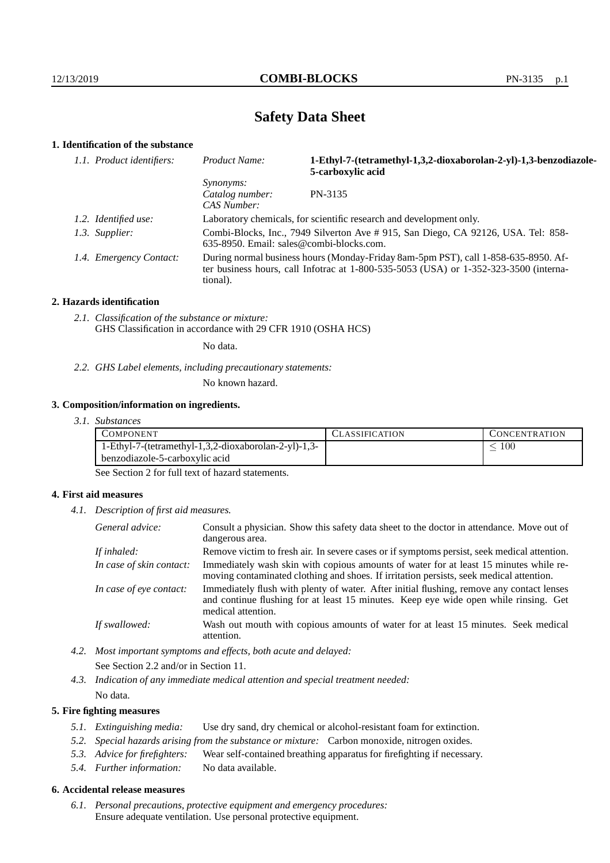# **Safety Data Sheet**

## **1. Identification of the substance**

| 1.1. Product identifiers: | Product Name:                                                                                                                                                                               | 1-Ethyl-7-(tetramethyl-1,3,2-dioxaborolan-2-yl)-1,3-benzodiazole-<br>5-carboxylic acid |
|---------------------------|---------------------------------------------------------------------------------------------------------------------------------------------------------------------------------------------|----------------------------------------------------------------------------------------|
|                           | <i>Synonyms:</i><br>Catalog number:<br>CAS Number:                                                                                                                                          | PN-3135                                                                                |
| 1.2. Identified use:      | Laboratory chemicals, for scientific research and development only.                                                                                                                         |                                                                                        |
| 1.3. Supplier:            | Combi-Blocks, Inc., 7949 Silverton Ave # 915, San Diego, CA 92126, USA. Tel: 858-<br>$635-8950$ . Email: sales@combi-blocks.com.                                                            |                                                                                        |
| 1.4. Emergency Contact:   | During normal business hours (Monday-Friday 8am-5pm PST), call 1-858-635-8950. Af-<br>ter business hours, call Infotrac at $1-800-535-5053$ (USA) or $1-352-323-3500$ (interna-<br>tional). |                                                                                        |

#### **2. Hazards identification**

*2.1. Classification of the substance or mixture:* GHS Classification in accordance with 29 CFR 1910 (OSHA HCS)

No data.

*2.2. GHS Label elements, including precautionary statements:*

No known hazard.

#### **3. Composition/information on ingredients.**

*3.1. Substances*

| <b>COMPONENT</b>                                     | <b>ASSIFICATION</b> | <b>CONCENTRATION</b> |
|------------------------------------------------------|---------------------|----------------------|
| 1-Ethyl-7-(tetramethyl-1,3,2-dioxaborolan-2-yl)-1,3- |                     | 100                  |
| benzodiazole-5-carboxylic acid                       |                     |                      |

See Section 2 for full text of hazard statements.

#### **4. First aid measures**

*4.1. Description of first aid measures.*

| General advice:          | Consult a physician. Show this safety data sheet to the doctor in attendance. Move out of<br>dangerous area.                                                                                            |
|--------------------------|---------------------------------------------------------------------------------------------------------------------------------------------------------------------------------------------------------|
| If inhaled:              | Remove victim to fresh air. In severe cases or if symptoms persist, seek medical attention.                                                                                                             |
| In case of skin contact: | Immediately wash skin with copious amounts of water for at least 15 minutes while re-<br>moving contaminated clothing and shoes. If irritation persists, seek medical attention.                        |
| In case of eye contact:  | Immediately flush with plenty of water. After initial flushing, remove any contact lenses<br>and continue flushing for at least 15 minutes. Keep eye wide open while rinsing. Get<br>medical attention. |
| If swallowed:            | Wash out mouth with copious amounts of water for at least 15 minutes. Seek medical<br>attention.                                                                                                        |

*4.2. Most important symptoms and effects, both acute and delayed:* See Section 2.2 and/or in Section 11.

*4.3. Indication of any immediate medical attention and special treatment needed:* No data.

#### **5. Fire fighting measures**

- *5.1. Extinguishing media:* Use dry sand, dry chemical or alcohol-resistant foam for extinction.
- *5.2. Special hazards arising from the substance or mixture:* Carbon monoxide, nitrogen oxides.
- *5.3. Advice for firefighters:* Wear self-contained breathing apparatus for firefighting if necessary.
- *5.4. Further information:* No data available.

## **6. Accidental release measures**

*6.1. Personal precautions, protective equipment and emergency procedures:* Ensure adequate ventilation. Use personal protective equipment.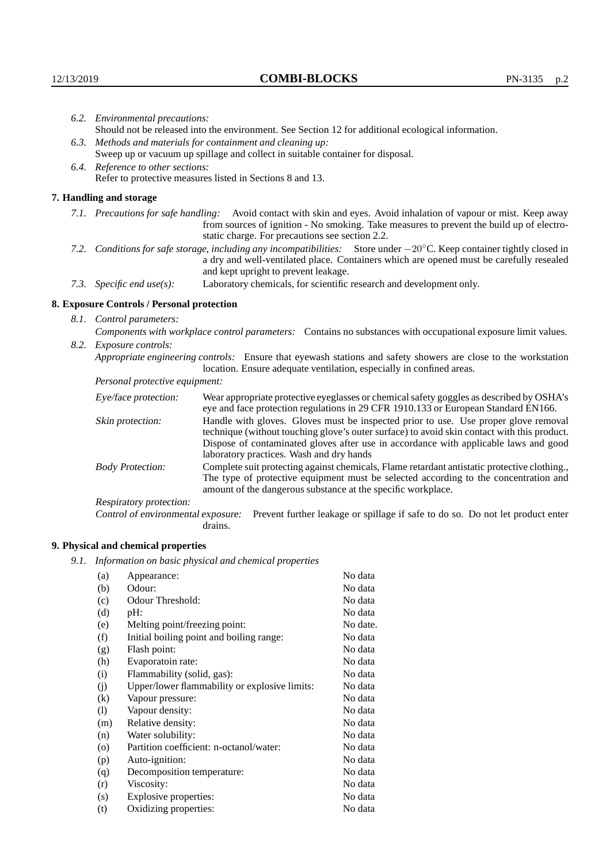| 6.2. Environmental precautions:   |                                                                                                                                                                                                                                                                       |                                                                                                                                                                                                                                                                           |  |  |
|-----------------------------------|-----------------------------------------------------------------------------------------------------------------------------------------------------------------------------------------------------------------------------------------------------------------------|---------------------------------------------------------------------------------------------------------------------------------------------------------------------------------------------------------------------------------------------------------------------------|--|--|
|                                   | Should not be released into the environment. See Section 12 for additional ecological information.                                                                                                                                                                    |                                                                                                                                                                                                                                                                           |  |  |
|                                   | 6.3. Methods and materials for containment and cleaning up:                                                                                                                                                                                                           |                                                                                                                                                                                                                                                                           |  |  |
|                                   | Sweep up or vacuum up spillage and collect in suitable container for disposal.                                                                                                                                                                                        |                                                                                                                                                                                                                                                                           |  |  |
| 6.4. Reference to other sections: |                                                                                                                                                                                                                                                                       |                                                                                                                                                                                                                                                                           |  |  |
|                                   |                                                                                                                                                                                                                                                                       | Refer to protective measures listed in Sections 8 and 13.                                                                                                                                                                                                                 |  |  |
|                                   | 7. Handling and storage                                                                                                                                                                                                                                               |                                                                                                                                                                                                                                                                           |  |  |
|                                   | Avoid contact with skin and eyes. Avoid inhalation of vapour or mist. Keep away<br>7.1. Precautions for safe handling:<br>from sources of ignition - No smoking. Take measures to prevent the build up of electro-<br>static charge. For precautions see section 2.2. |                                                                                                                                                                                                                                                                           |  |  |
|                                   | 7.2. Conditions for safe storage, including any incompatibilities: Store under -20°C. Keep container tightly closed in<br>a dry and well-ventilated place. Containers which are opened must be carefully resealed<br>and kept upright to prevent leakage.             |                                                                                                                                                                                                                                                                           |  |  |
|                                   | 7.3. Specific end use(s):                                                                                                                                                                                                                                             | Laboratory chemicals, for scientific research and development only.                                                                                                                                                                                                       |  |  |
|                                   | 8. Exposure Controls / Personal protection                                                                                                                                                                                                                            |                                                                                                                                                                                                                                                                           |  |  |
|                                   | 8.1. Control parameters:                                                                                                                                                                                                                                              |                                                                                                                                                                                                                                                                           |  |  |
|                                   | Components with workplace control parameters: Contains no substances with occupational exposure limit values.                                                                                                                                                         |                                                                                                                                                                                                                                                                           |  |  |
|                                   | 8.2. Exposure controls:                                                                                                                                                                                                                                               |                                                                                                                                                                                                                                                                           |  |  |
|                                   | Appropriate engineering controls: Ensure that eyewash stations and safety showers are close to the workstation<br>location. Ensure adequate ventilation, especially in confined areas.                                                                                |                                                                                                                                                                                                                                                                           |  |  |
|                                   | Personal protective equipment:                                                                                                                                                                                                                                        |                                                                                                                                                                                                                                                                           |  |  |
|                                   | Eye/face protection:                                                                                                                                                                                                                                                  | Wear appropriate protective eyeglasses or chemical safety goggles as described by OSHA's<br>eye and face protection regulations in 29 CFR 1910.133 or European Standard EN166.                                                                                            |  |  |
|                                   | Skin protection:                                                                                                                                                                                                                                                      | Handle with gloves. Gloves must be inspected prior to use. Use proper glove removal<br>technique (without touching glove's outer surface) to avoid skin contact with this product.<br>Dignage of conteminated glories often use in coordones with englished laws and good |  |  |

## **8. Exposure Controls / Personal protection**

| Eye/face protection:               | Wear appropriate protective eyeglasses or chemical safety goggles as described by OSHA's<br>eye and face protection regulations in 29 CFR 1910.133 or European Standard EN166.                                                                                                                                         |  |  |
|------------------------------------|------------------------------------------------------------------------------------------------------------------------------------------------------------------------------------------------------------------------------------------------------------------------------------------------------------------------|--|--|
| Skin protection:                   | Handle with gloves. Gloves must be inspected prior to use. Use proper glove removal<br>technique (without touching glove's outer surface) to avoid skin contact with this product.<br>Dispose of contaminated gloves after use in accordance with applicable laws and good<br>laboratory practices. Wash and dry hands |  |  |
| <b>Body Protection:</b>            | Complete suit protecting against chemicals, Flame retardant antistatic protective clothing.,<br>The type of protective equipment must be selected according to the concentration and<br>amount of the dangerous substance at the specific workplace.                                                                   |  |  |
| <b>Respiratory protection:</b>     |                                                                                                                                                                                                                                                                                                                        |  |  |
| Control of environmental exposure: | Prevent further leakage or spillage if safe to do so. Do not let product enter<br>drains.                                                                                                                                                                                                                              |  |  |

## **9. Physical and chemical properties**

*9.1. Information on basic physical and chemical properties*

| (a)      | Appearance:                                   | No data  |
|----------|-----------------------------------------------|----------|
| (b)      | Odour:                                        | No data  |
| (c)      | Odour Threshold:                              | No data  |
| (d)      | pH:                                           | No data  |
| (e)      | Melting point/freezing point:                 | No date. |
| (f)      | Initial boiling point and boiling range:      | No data  |
| (g)      | Flash point:                                  | No data  |
| (h)      | Evaporatoin rate:                             | No data  |
| (i)      | Flammability (solid, gas):                    | No data  |
| (j)      | Upper/lower flammability or explosive limits: | No data  |
| $\rm(k)$ | Vapour pressure:                              | No data  |
| (1)      | Vapour density:                               | No data  |
| (m)      | Relative density:                             | No data  |
| (n)      | Water solubility:                             | No data  |
| $\circ$  | Partition coefficient: n-octanol/water:       | No data  |
| (p)      | Auto-ignition:                                | No data  |
| (q)      | Decomposition temperature:                    | No data  |
| (r)      | Viscosity:                                    | No data  |
| (s)      | Explosive properties:                         | No data  |
| (t)      | Oxidizing properties:                         | No data  |